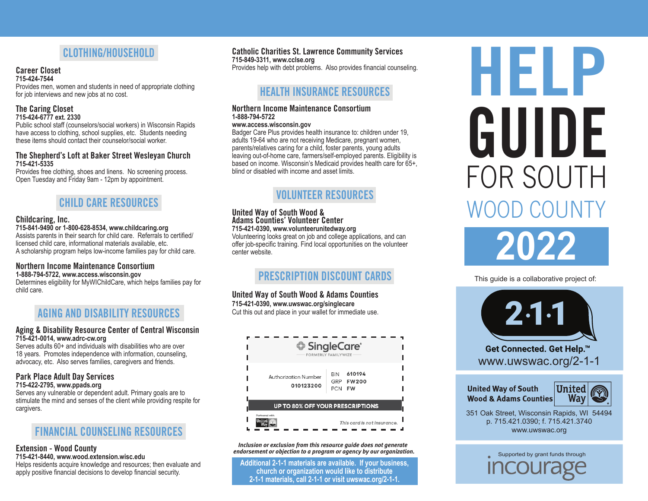# **CLOTHING/HOUSEHOLD**

#### **Career Closet 715-424-7544**

Provides men, women and students in need of appropriate clothing for job interviews and new jobs at no cost.

## **The Caring Closet 715-424-6777 ext. 2330**

Public school staff (counselors/social workers) in Wisconsin Rapids have access to clothing, school supplies, etc. Students needing these items should contact their counselor/social worker.

## **The Shepherd's Loft at Baker Street Wesleyan Church 715-421-5335**

Provides free clothing, shoes and linens. No screening process. Open Tuesday and Friday 9am - 12pm by appointment.

# **CHILD CARE RESOURCES**

## **Childcaring, Inc.**

**715-841-9490 or 1-800-628-8534, www.childcaring.org** Assists parents in their search for child care. Referrals to certified/ licensed child care, informational materials available, etc. A scholarship program helps low-income families pay for child care.

#### **Northern Income Maintenance Consortium 1-888-794-5722, www.access.wisconsin.gov**

Determines eligibility for MyWIChildCare, which helps families pay for child care.

# **AGING AND DISABILITY RESOURCES**

## **Aging & Disability Resource Center of Central Wisconsin 715-421-0014, www.adrc-cw.org**

Serves adults 60+ and individuals with disabilities who are over 18 years. Promotes independence with information, counseling, advocacy, etc. Also serves families, caregivers and friends.

# **Park Place Adult Day Services**

**715-422-2795, www.ppads.org**

Serves any vulnerable or dependent adult. Primary goals are to stimulate the mind and senses of the client while providing respite for cargivers.

# **FINANCIAL COUNSELING RESOURCES**

## **Extension - Wood County 715-421-8440, www.wood.extension.wisc.edu**

Helps residents acquire knowledge and resources; then evaluate and apply positive financial decisions to develop financial security.

## **Catholic Charities St. Lawrence Community Services**

**715-849-3311, www.cclse.org**

Provides help with debt problems. Also provides financial counseling.

# **HEALTH INSURANCE RESOURCES**

## **Northern Income Maintenance Consortium 1-888-794-5722**

## **www.access.wisconsin.gov**

Badger Care Plus provides health insurance to: children under 19, adults 19-64 who are not receiving Medicare, pregnant women, parents/relatives caring for a child, foster parents, young adults leaving out-of-home care, farmers/self-employed parents. Eligibility is based on income. Wisconsin's Medicaid provides health care for 65+, blind or disabled with income and asset limits.

# **VOLUNTEER RESOURCES**

## **United Way of South Wood & Adams Counties' Volunteer Center**

**715-421-0390, www.volunteerunitedway.org** Volunteering looks great on job and college applications, and can

offer job-specific training. Find local opportunities on the volunteer center website.

# **PRESCRIPTION DISCOUNT CARDS**

**United Way of South Wood & Adams Counties 715-421-0390, www.uwswac.org/singlecare** 

Cut this out and place in your wallet for immediate use.



*Inclusion or exclusion from this resource guide does not generate endorsement or objection to a program or agency by our organization.*

**Additional 2-1-1 materials are available. If your business, church or organization would like to distribute 2-1-1 materials, call 2-1-1 or visit uwswac.org/2-1-1.**

# **HELP** WOOD COUNT FOR SOUTH **GUIDE**

**2022**

This guide is a collaborative project of:



**United Way of South Wood & Adams Counties** 



351 Oak Street, Wisconsin Rapids, WI 54494 p. 715.421.0390; f. 715.421.3740 www.uwswac.org